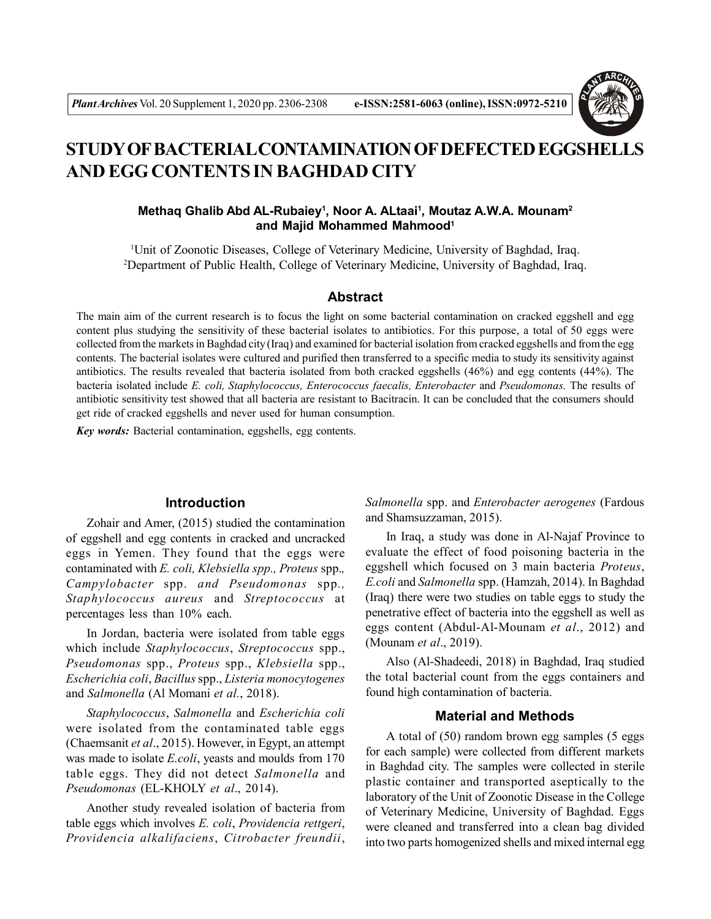

# **STUDY OF BACTERIAL CONTAMINATION OF DEFECTED EGGSHELLS AND EGG CONTENTS IN BAGHDAD CITY**

## **Methaq Ghalib Abd AL-Rubaiey<sup>1</sup> , Noor A. ALtaai<sup>1</sup> , Moutaz A.W.A. Mounam<sup>2</sup> and Majid Mohammed Mahmood<sup>1</sup>**

<sup>1</sup>Unit of Zoonotic Diseases, College of Veterinary Medicine, University of Baghdad, Iraq. <sup>2</sup>Department of Public Health, College of Veterinary Medicine, University of Baghdad, Iraq.

#### **Abstract**

The main aim of the current research is to focus the light on some bacterial contamination on cracked eggshell and egg content plus studying the sensitivity of these bacterial isolates to antibiotics. For this purpose, a total of 50 eggs were collected from the markets in Baghdad city (Iraq) and examined for bacterial isolation from cracked eggshells and from the egg contents. The bacterial isolates were cultured and purified then transferred to a specific media to study its sensitivity against antibiotics. The results revealed that bacteria isolated from both cracked eggshells (46%) and egg contents (44%). The bacteria isolated include *E. coli, Staphylococcus, Enterococcus faecalis, Enterobacter* and *Pseudomonas.* The results of antibiotic sensitivity test showed that all bacteria are resistant to Bacitracin. It can be concluded that the consumers should get ride of cracked eggshells and never used for human consumption.

*Key words:* Bacterial contamination, eggshells, egg contents.

### **Introduction**

Zohair and Amer, (2015) studied the contamination of eggshell and egg contents in cracked and uncracked eggs in Yemen. They found that the eggs were contaminated with *E. coli, Klebsiella spp., Proteus* spp.*, Campylobacter* spp. *and Pseudomonas* spp*., Staphylococcus aureus* and *Streptococcus* at percentages less than 10% each.

In Jordan, bacteria were isolated from table eggs which include *Staphylococcus*, *Streptococcus* spp., *Pseudomonas* spp., *Proteus* spp., *Klebsiella* spp., *Escherichia coli*, *Bacillus* spp., *Listeria monocytogenes* and *Salmonella* (Al Momani *et al.*, 2018).

*Staphylococcus*, *Salmonella* and *Escherichia coli* were isolated from the contaminated table eggs (Chaemsanit *et al*., 2015). However, in Egypt, an attempt was made to isolate *E.coli*, yeasts and moulds from 170 table eggs. They did not detect *Salmonella* and *Pseudomonas* (EL-KHOLY *et al*., 2014).

Another study revealed isolation of bacteria from table eggs which involves *E. coli*, *Providencia rettgeri*, *Providencia alkalifaciens*, *Citrobacter freundii*,

*Salmonella* spp. and *Enterobacter aerogenes* (Fardous and Shamsuzzaman, 2015).

In Iraq, a study was done in Al-Najaf Province to evaluate the effect of food poisoning bacteria in the eggshell which focused on 3 main bacteria *Proteus*, *E.coli* and *Salmonella* spp. (Hamzah, 2014). In Baghdad (Iraq) there were two studies on table eggs to study the penetrative effect of bacteria into the eggshell as well as eggs content (Abdul-Al-Mounam *et al*., 2012) and (Mounam *et al*., 2019).

Also (Al-Shadeedi, 2018) in Baghdad, Iraq studied the total bacterial count from the eggs containers and found high contamination of bacteria.

### **Material and Methods**

A total of (50) random brown egg samples (5 eggs for each sample) were collected from different markets in Baghdad city. The samples were collected in sterile plastic container and transported aseptically to the laboratory of the Unit of Zoonotic Disease in the College of Veterinary Medicine, University of Baghdad. Eggs were cleaned and transferred into a clean bag divided into two parts homogenized shells and mixed internal egg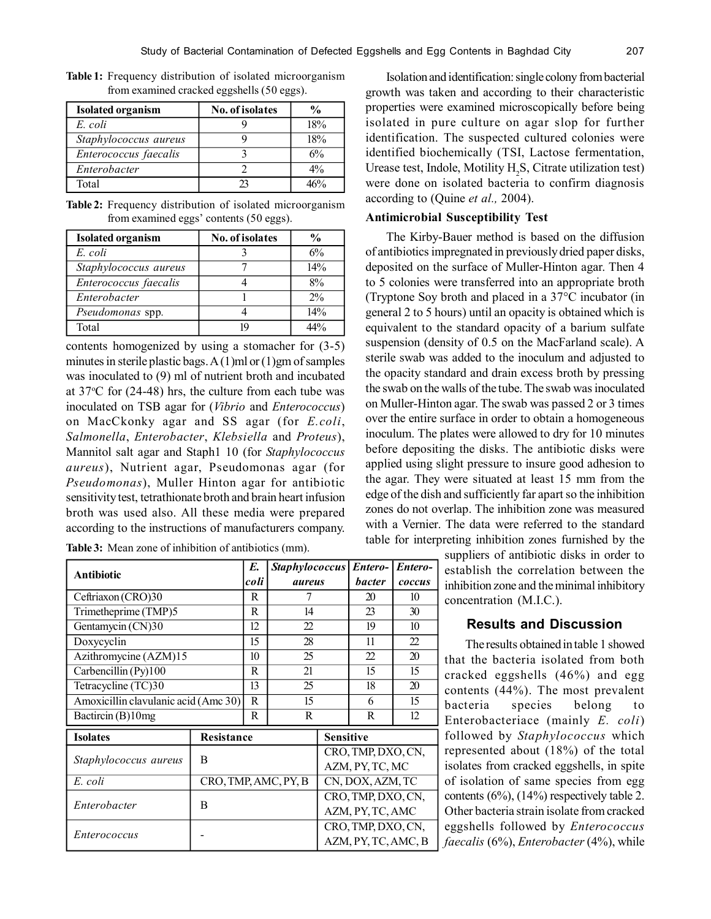| <b>Isolated organism</b> | <b>No. of isolates</b> | $\frac{0}{0}$ |
|--------------------------|------------------------|---------------|
| E. coli                  |                        | 18%           |
| Staphylococcus aureus    |                        | 18%           |
| Enterococcus faecalis    |                        | 6%            |
| Enterobacter             |                        | $4\%$         |
| Total                    | つつ                     | 160%          |

**Table 1:** Frequency distribution of isolated microorganism from examined cracked eggshells (50 eggs).

**Table 2:** Frequency distribution of isolated microorganism from examined eggs' contents (50 eggs).

| <b>Isolated organism</b> | <b>No. of isolates</b> | $\frac{0}{0}$ |
|--------------------------|------------------------|---------------|
| E. coli                  |                        | 6%            |
| Staphylococcus aureus    |                        | 14%           |
| Enterococcus faecalis    |                        | 8%            |
| Enterobacter             |                        | 2%            |
| Pseudomonas spp.         |                        | 14%           |
| Total                    | 10                     | 44%           |

contents homogenized by using a stomacher for (3-5) minutes in sterile plastic bags. A  $(1)$ ml or  $(1)$ gm of samples was inoculated to (9) ml of nutrient broth and incubated at  $37^{\circ}$ C for (24-48) hrs, the culture from each tube was inoculated on TSB agar for (*Vibrio* and *Enterococcus*) on MacCkonky agar and SS agar (for *E.coli*, *Salmonella*, *Enterobacter*, *Klebsiella* and *Proteus*), Mannitol salt agar and Staph1 10 (for *Staphylococcus aureus*), Nutrient agar, Pseudomonas agar (for *Pseudomonas*), Muller Hinton agar for antibiotic sensitivity test, tetrathionate broth and brain heart infusion broth was used also. All these media were prepared according to the instructions of manufacturers company.

**Table 3:** Mean zone of inhibition of antibiotics (mm).

| Antibiotic                           |                      | E.          | <b>Staphylococcus</b> |                     | Entero-            | Entero- |  |
|--------------------------------------|----------------------|-------------|-----------------------|---------------------|--------------------|---------|--|
|                                      |                      | coli        | aureus                |                     | <b>bacter</b>      | coccus  |  |
| Ceftriaxon (CRO)30                   |                      | R           | 7                     |                     | 20                 | 10      |  |
| Trimetheprime (TMP)5                 |                      | R           | 14                    |                     | 23                 | 30      |  |
| Gentamycin (CN)30                    |                      | 12          | 22                    |                     | 19                 | 10      |  |
| Doxycyclin                           |                      | 15          | 28                    |                     | 11                 | 22      |  |
| Azithromycine (AZM)15                |                      | 10          | 25                    |                     | $\mathcal{D}$      | 20      |  |
| Carbencillin (Py)100                 |                      | R           | 21                    |                     | 15                 | 15      |  |
| Tetracycline (TC)30                  |                      | 13          | 25                    |                     |                    | 20      |  |
| Amoxicillin clavulanic acid (Amc 30) |                      | $\mathbf R$ | 15                    |                     |                    | 15      |  |
| Bactircin (B)10mg                    |                      | R           | R                     |                     |                    | 12      |  |
| <b>Isolates</b>                      | Resistance           |             |                       | <b>Sensitive</b>    |                    |         |  |
| Staphylococcus aureus                |                      |             | CRO, TMP, DXO, CN,    |                     |                    |         |  |
|                                      | B                    |             |                       | AZM, PY, TC, MC     |                    |         |  |
| E. coli                              | CRO, TMP, AMC, PY, B |             |                       | CN, DOX, AZM, TC    |                    |         |  |
| Enterobacter<br>B                    |                      |             |                       |                     | CRO, TMP, DXO, CN, |         |  |
|                                      |                      |             | AZM, PY, TC, AMC      |                     |                    |         |  |
|                                      |                      |             |                       | CRO, TMP, DXO, CN,  |                    |         |  |
| <i>Enterococcus</i>                  |                      |             |                       | AZM, PY, TC, AMC, B |                    |         |  |

Isolation and identification: single colony from bacterial growth was taken and according to their characteristic properties were examined microscopically before being isolated in pure culture on agar slop for further identification. The suspected cultured colonies were identified biochemically (TSI, Lactose fermentation, Urease test, Indole, Motility  $H_2S$ , Citrate utilization test) were done on isolated bacteria to confirm diagnosis according to (Quine *et al.,* 2004).

#### **Antimicrobial Susceptibility Test**

The Kirby-Bauer method is based on the diffusion of antibiotics impregnated in previously dried paper disks, deposited on the surface of Muller-Hinton agar. Then 4 to 5 colonies were transferred into an appropriate broth (Tryptone Soy broth and placed in a 37°C incubator (in general 2 to 5 hours) until an opacity is obtained which is equivalent to the standard opacity of a barium sulfate suspension (density of 0.5 on the MacFarland scale). A sterile swab was added to the inoculum and adjusted to the opacity standard and drain excess broth by pressing the swab on the walls of the tube. The swab was inoculated on Muller-Hinton agar. The swab was passed 2 or 3 times over the entire surface in order to obtain a homogeneous inoculum. The plates were allowed to dry for 10 minutes before depositing the disks. The antibiotic disks were applied using slight pressure to insure good adhesion to the agar. They were situated at least 15 mm from the edge of the dish and sufficiently far apart so the inhibition zones do not overlap. The inhibition zone was measured with a Vernier. The data were referred to the standard table for interpreting inhibition zones furnished by the

> suppliers of antibiotic disks in order to establish the correlation between the inhibition zone and the minimal inhibitory concentration (M.I.C.).

# **Results and Discussion**

The results obtained in table 1 showed that the bacteria isolated from both cracked eggshells (46%) and egg contents (44%). The most prevalent bacteria species belong to Enterobacteriace (mainly *E. coli*) followed by *Staphylococcus* which represented about (18%) of the total isolates from cracked eggshells, in spite of isolation of same species from egg contents (6%), (14%) respectively table 2. Other bacteria strain isolate from cracked eggshells followed by *Enterococcus faecalis* (6%), *Enterobacter* (4%), while